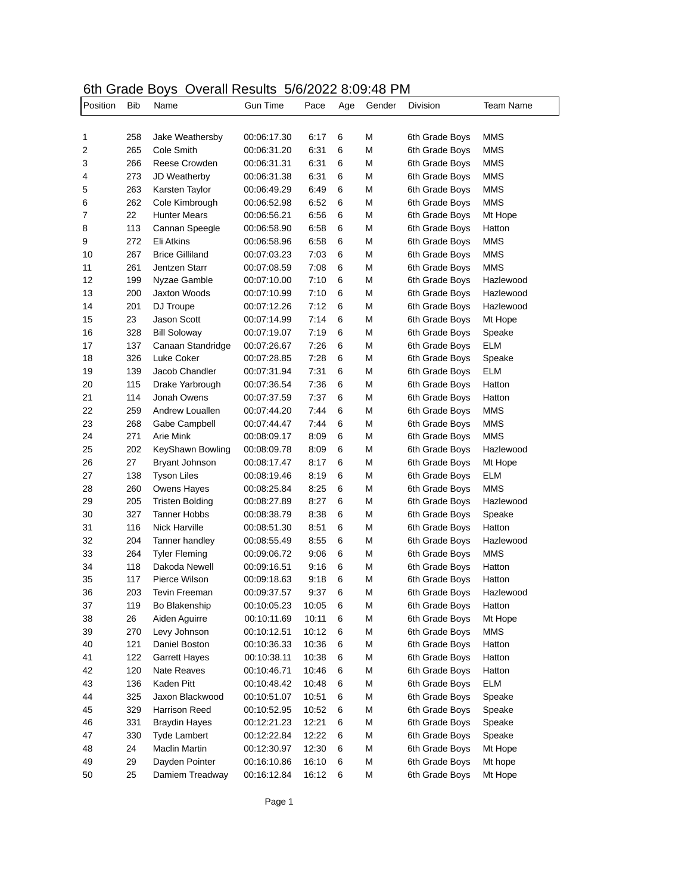## 6th Grade Boys Overall Results 5/6/2022 8:09:48 PM

| Position | Bib | .<br>Name              | Gun Time    | Pace  | Age | Gender | Division       | Team Name  |
|----------|-----|------------------------|-------------|-------|-----|--------|----------------|------------|
|          |     |                        |             |       |     |        |                |            |
| 1        | 258 | Jake Weathersby        | 00:06:17.30 | 6:17  | 6   | М      | 6th Grade Boys | MMS        |
| 2        | 265 | Cole Smith             | 00:06:31.20 | 6:31  | 6   | М      | 6th Grade Boys | MMS        |
| 3        | 266 | Reese Crowden          | 00:06:31.31 | 6:31  | 6   | М      | 6th Grade Boys | MMS        |
| 4        | 273 | JD Weatherby           | 00:06:31.38 | 6:31  | 6   | М      | 6th Grade Boys | MMS        |
| 5        | 263 | Karsten Taylor         | 00:06:49.29 | 6:49  | 6   | М      | 6th Grade Boys | MMS        |
| 6        | 262 | Cole Kimbrough         | 00:06:52.98 | 6:52  | 6   | М      | 6th Grade Boys | <b>MMS</b> |
| 7        | 22  | <b>Hunter Mears</b>    | 00:06:56.21 | 6:56  | 6   | М      | 6th Grade Boys | Mt Hope    |
| 8        | 113 | Cannan Speegle         | 00:06:58.90 | 6:58  | 6   | М      | 6th Grade Boys | Hatton     |
| 9        | 272 | Eli Atkins             | 00:06:58.96 | 6:58  | 6   | М      | 6th Grade Boys | MMS        |
| 10       | 267 | <b>Brice Gilliland</b> | 00:07:03.23 | 7:03  | 6   | М      | 6th Grade Boys | <b>MMS</b> |
| 11       | 261 | Jentzen Starr          | 00:07:08.59 | 7:08  | 6   | М      | 6th Grade Boys | <b>MMS</b> |
| 12       | 199 | Nyzae Gamble           | 00:07:10.00 | 7:10  | 6   | М      | 6th Grade Boys | Hazlewood  |
| 13       | 200 | <b>Jaxton Woods</b>    | 00:07:10.99 | 7:10  | 6   | М      | 6th Grade Boys | Hazlewood  |
| 14       | 201 | DJ Troupe              | 00:07:12.26 | 7:12  | 6   | М      | 6th Grade Boys | Hazlewood  |
| 15       | 23  | <b>Jason Scott</b>     | 00:07:14.99 | 7:14  | 6   | М      | 6th Grade Boys | Mt Hope    |
| 16       | 328 | <b>Bill Soloway</b>    | 00:07:19.07 | 7:19  | 6   | М      | 6th Grade Boys | Speake     |
| 17       | 137 | Canaan Standridge      | 00:07:26.67 | 7:26  | 6   | М      | 6th Grade Boys | ELM        |
| 18       | 326 | Luke Coker             | 00:07:28.85 | 7:28  | 6   | М      | 6th Grade Boys | Speake     |
| 19       | 139 | Jacob Chandler         | 00:07:31.94 | 7:31  | 6   | М      | 6th Grade Boys | ELM        |
| 20       | 115 | Drake Yarbrough        | 00:07:36.54 | 7:36  | 6   | М      | 6th Grade Boys | Hatton     |
| 21       | 114 | Jonah Owens            | 00:07:37.59 | 7:37  | 6   | М      | 6th Grade Boys | Hatton     |
| 22       | 259 | Andrew Louallen        | 00:07:44.20 | 7:44  | 6   | М      | 6th Grade Boys | <b>MMS</b> |
| 23       | 268 | Gabe Campbell          | 00:07:44.47 | 7:44  | 6   | М      | 6th Grade Boys | <b>MMS</b> |
| 24       | 271 | <b>Arie Mink</b>       | 00:08:09.17 | 8:09  | 6   | М      | 6th Grade Boys | <b>MMS</b> |
| 25       | 202 | KeyShawn Bowling       | 00:08:09.78 | 8:09  | 6   | М      | 6th Grade Boys | Hazlewood  |
| 26       | 27  | <b>Bryant Johnson</b>  | 00:08:17.47 | 8:17  | 6   | М      | 6th Grade Boys | Mt Hope    |
| 27       | 138 | Tyson Liles            | 00:08:19.46 | 8:19  | 6   | М      | 6th Grade Boys | ELM        |
| 28       | 260 | Owens Hayes            | 00:08:25.84 | 8:25  | 6   | М      | 6th Grade Boys | MMS        |
| 29       | 205 | <b>Tristen Bolding</b> | 00:08:27.89 | 8:27  | 6   | М      | 6th Grade Boys | Hazlewood  |
| 30       | 327 | <b>Tanner Hobbs</b>    | 00:08:38.79 | 8:38  | 6   | М      | 6th Grade Boys | Speake     |
| 31       | 116 | <b>Nick Harville</b>   | 00:08:51.30 | 8:51  | 6   | М      | 6th Grade Boys | Hatton     |
| 32       | 204 | Tanner handley         | 00:08:55.49 | 8:55  | 6   | М      | 6th Grade Boys | Hazlewood  |
| 33       | 264 | <b>Tyler Fleming</b>   | 00:09:06.72 | 9:06  | 6   | М      | 6th Grade Boys | <b>MMS</b> |
| 34       | 118 | Dakoda Newell          | 00:09:16.51 | 9:16  | 6   | М      | 6th Grade Boys | Hatton     |
| 35       | 117 | Pierce Wilson          | 00:09:18.63 | 9:18  | 6   | М      | 6th Grade Boys | Hatton     |
| 36       | 203 | Tevin Freeman          | 00:09:37.57 | 9:37  | 6   | М      | 6th Grade Boys | Hazlewood  |
| 37       | 119 | Bo Blakenship          | 00:10:05.23 | 10:05 | 6   | M      | 6th Grade Boys | Hatton     |
| 38       | 26  | Aiden Aguirre          | 00:10:11.69 | 10:11 | 6   | M      | 6th Grade Boys | Mt Hope    |
| 39       | 270 | Levy Johnson           | 00:10:12.51 | 10:12 | 6   | M      | 6th Grade Boys | <b>MMS</b> |
| 40       | 121 | Daniel Boston          | 00:10:36.33 | 10:36 | 6   | M      | 6th Grade Boys | Hatton     |
| 41       | 122 | <b>Garrett Hayes</b>   | 00:10:38.11 | 10:38 | 6   | M      | 6th Grade Boys | Hatton     |
| 42       | 120 | <b>Nate Reaves</b>     | 00:10:46.71 | 10:46 | 6   | M      | 6th Grade Boys | Hatton     |
| 43       | 136 | Kaden Pitt             | 00:10:48.42 | 10:48 | 6   | M      | 6th Grade Boys | ELM        |
| 44       | 325 | Jaxon Blackwood        | 00:10:51.07 | 10:51 | 6   | M      | 6th Grade Boys | Speake     |
| 45       | 329 | Harrison Reed          | 00:10:52.95 | 10:52 | 6   | M      | 6th Grade Boys | Speake     |
| 46       | 331 | <b>Braydin Hayes</b>   | 00:12:21.23 | 12:21 | 6   | M      | 6th Grade Boys | Speake     |
| 47       | 330 | <b>Tyde Lambert</b>    | 00:12:22.84 | 12:22 | 6   | M      | 6th Grade Boys | Speake     |
| 48       | 24  | Maclin Martin          | 00:12:30.97 | 12:30 | 6   | M      | 6th Grade Boys | Mt Hope    |
| 49       | 29  | Dayden Pointer         | 00:16:10.86 | 16:10 | 6   | М      | 6th Grade Boys | Mt hope    |
| 50       | 25  | Damiem Treadway        | 00:16:12.84 | 16:12 | 6   | М      | 6th Grade Boys | Mt Hope    |
|          |     |                        |             |       |     |        |                |            |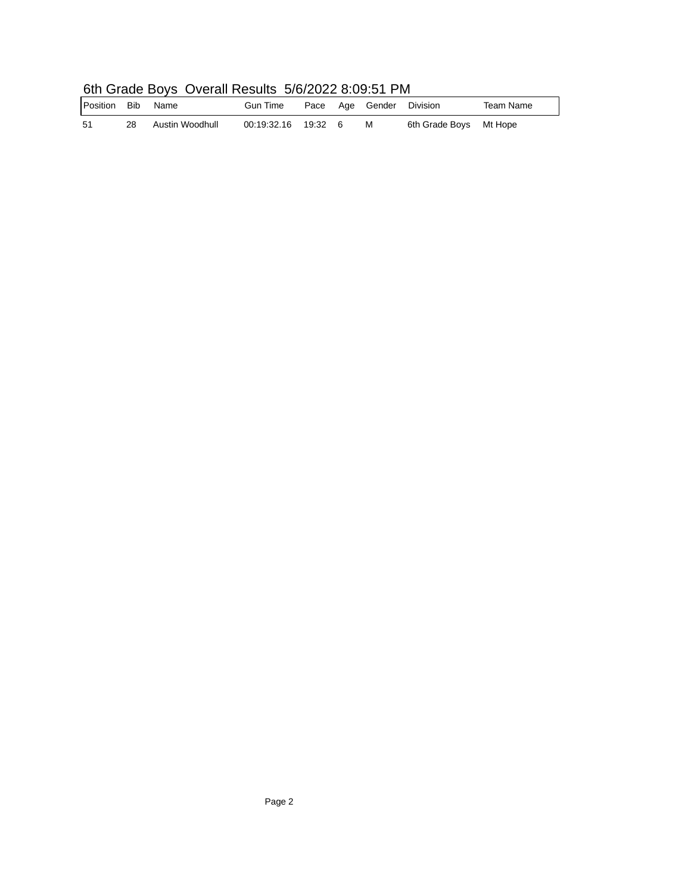| <u>UNI URUG DUYU UYURIN NGUNU UNIZUZZ U.UJ.UTTI M</u> |    |                 |                     |  |  |                          |                        |           |  |
|-------------------------------------------------------|----|-----------------|---------------------|--|--|--------------------------|------------------------|-----------|--|
| Position Bib                                          |    | Name            | Gun Time            |  |  | Pace Age Gender Division |                        | Team Name |  |
| -51                                                   | 28 | Austin Woodhull | 00:19:32.16 19:32 6 |  |  | M                        | 6th Grade Boys Mt Hope |           |  |

## 6th Grade Boys Overall Results 5/6/2022 8:09:51 PM